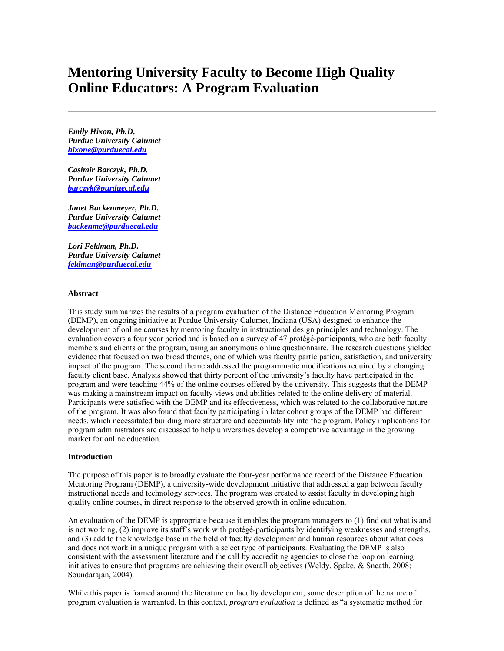# **Mentoring University Faculty to Become High Quality Online Educators: A Program Evaluation**

*Emily Hixon, Ph.D. Purdue University Calumet hixone@purduecal.edu*

*Casimir Barczyk, Ph.D. Purdue University Calumet barczyk@purduecal.edu*

*Janet Buckenmeyer, Ph.D. Purdue University Calumet buckenme@purduecal.edu*

*Lori Feldman, Ph.D. Purdue University Calumet feldman@purduecal.edu*

## **Abstract**

This study summarizes the results of a program evaluation of the Distance Education Mentoring Program (DEMP), an ongoing initiative at Purdue University Calumet, Indiana (USA) designed to enhance the development of online courses by mentoring faculty in instructional design principles and technology. The evaluation covers a four year period and is based on a survey of 47 protégé-participants, who are both faculty members and clients of the program, using an anonymous online questionnaire. The research questions yielded evidence that focused on two broad themes, one of which was faculty participation, satisfaction, and university impact of the program. The second theme addressed the programmatic modifications required by a changing faculty client base. Analysis showed that thirty percent of the university's faculty have participated in the program and were teaching 44% of the online courses offered by the university. This suggests that the DEMP was making a mainstream impact on faculty views and abilities related to the online delivery of material. Participants were satisfied with the DEMP and its effectiveness, which was related to the collaborative nature of the program. It was also found that faculty participating in later cohort groups of the DEMP had different needs, which necessitated building more structure and accountability into the program. Policy implications for program administrators are discussed to help universities develop a competitive advantage in the growing market for online education.

#### **Introduction**

The purpose of this paper is to broadly evaluate the four-year performance record of the Distance Education Mentoring Program (DEMP), a university-wide development initiative that addressed a gap between faculty instructional needs and technology services. The program was created to assist faculty in developing high quality online courses, in direct response to the observed growth in online education.

An evaluation of the DEMP is appropriate because it enables the program managers to (1) find out what is and is not working, (2) improve its staff's work with protégé-participants by identifying weaknesses and strengths, and (3) add to the knowledge base in the field of faculty development and human resources about what does and does not work in a unique program with a select type of participants. Evaluating the DEMP is also consistent with the assessment literature and the call by accrediting agencies to close the loop on learning initiatives to ensure that programs are achieving their overall objectives (Weldy, Spake, & Sneath, 2008; Soundarajan, 2004).

While this paper is framed around the literature on faculty development, some description of the nature of program evaluation is warranted. In this context, *program evaluation* is defined as "a systematic method for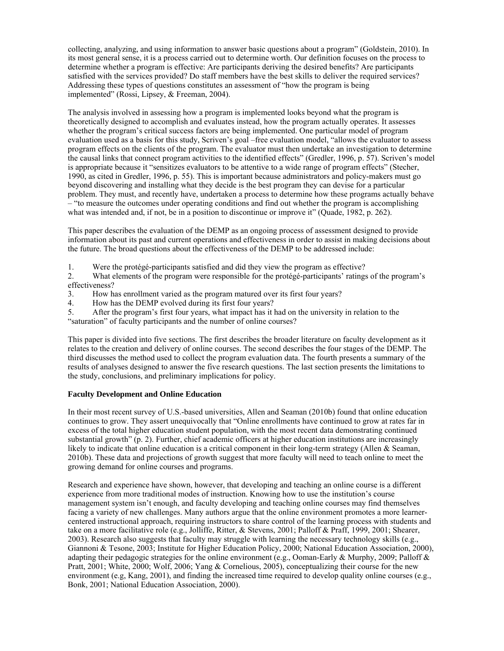collecting, analyzing, and using information to answer basic questions about a program" (Goldstein, 2010). In its most general sense, it is a process carried out to determine worth. Our definition focuses on the process to determine whether a program is effective: Are participants deriving the desired benefits? Are participants satisfied with the services provided? Do staff members have the best skills to deliver the required services? Addressing these types of questions constitutes an assessment of "how the program is being implemented" (Rossi, Lipsey, & Freeman, 2004).

The analysis involved in assessing how a program is implemented looks beyond what the program is theoretically designed to accomplish and evaluates instead, how the program actually operates. It assesses whether the program's critical success factors are being implemented. One particular model of program evaluation used as a basis for this study, Scriven's goal –free evaluation model, "allows the evaluator to assess program effects on the clients of the program. The evaluator must then undertake an investigation to determine the causal links that connect program activities to the identified effects" (Gredler, 1996, p. 57). Scriven's model is appropriate because it "sensitizes evaluators to be attentive to a wide range of program effects" (Stecher, 1990, as cited in Gredler, 1996, p. 55). This is important because administrators and policy-makers must go beyond discovering and installing what they decide is the best program they can devise for a particular problem. They must, and recently have, undertaken a process to determine how these programs actually behave – "to measure the outcomes under operating conditions and find out whether the program is accomplishing what was intended and, if not, be in a position to discontinue or improve it" (Quade, 1982, p. 262).

This paper describes the evaluation of the DEMP as an ongoing process of assessment designed to provide information about its past and current operations and effectiveness in order to assist in making decisions about the future. The broad questions about the effectiveness of the DEMP to be addressed include:

1. Were the protégé-participants satisfied and did they view the program as effective?

2. What elements of the program were responsible for the protégé-participants' ratings of the program's effectiveness?

- 3. How has enrollment varied as the program matured over its first four years?
- 4. How has the DEMP evolved during its first four years?
- 5. After the program's first four years, what impact has it had on the university in relation to the

"saturation" of faculty participants and the number of online courses?

This paper is divided into five sections. The first describes the broader literature on faculty development as it relates to the creation and delivery of online courses. The second describes the four stages of the DEMP. The third discusses the method used to collect the program evaluation data. The fourth presents a summary of the results of analyses designed to answer the five research questions. The last section presents the limitations to the study, conclusions, and preliminary implications for policy.

# **Faculty Development and Online Education**

In their most recent survey of U.S.-based universities, Allen and Seaman (2010b) found that online education continues to grow. They assert unequivocally that "Online enrollments have continued to grow at rates far in excess of the total higher education student population, with the most recent data demonstrating continued substantial growth" (p. 2). Further, chief academic officers at higher education institutions are increasingly likely to indicate that online education is a critical component in their long-term strategy (Allen & Seaman, 2010b). These data and projections of growth suggest that more faculty will need to teach online to meet the growing demand for online courses and programs.

Research and experience have shown, however, that developing and teaching an online course is a different experience from more traditional modes of instruction. Knowing how to use the institution's course management system isn't enough, and faculty developing and teaching online courses may find themselves facing a variety of new challenges. Many authors argue that the online environment promotes a more learnercentered instructional approach, requiring instructors to share control of the learning process with students and take on a more facilitative role (e.g., Jolliffe, Ritter, & Stevens, 2001; Palloff & Praff, 1999, 2001; Shearer, 2003). Research also suggests that faculty may struggle with learning the necessary technology skills (e.g., Giannoni & Tesone, 2003; Institute for Higher Education Policy, 2000; National Education Association, 2000), adapting their pedagogic strategies for the online environment (e.g., Ooman-Early & Murphy, 2009; Palloff & Pratt, 2001; White, 2000; Wolf, 2006; Yang & Cornelious, 2005), conceptualizing their course for the new environment (e.g, Kang, 2001), and finding the increased time required to develop quality online courses (e.g., Bonk, 2001; National Education Association, 2000).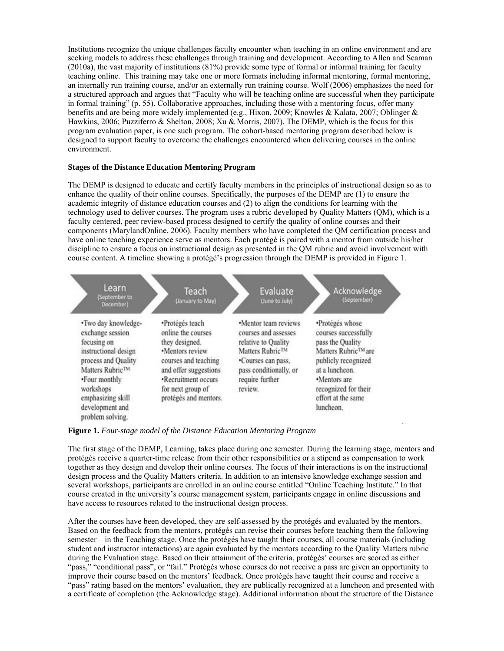Institutions recognize the unique challenges faculty encounter when teaching in an online environment and are seeking models to address these challenges through training and development. According to Allen and Seaman (2010a), the vast majority of institutions (81%) provide some type of formal or informal training for faculty teaching online. This training may take one or more formats including informal mentoring, formal mentoring, an internally run training course, and/or an externally run training course. Wolf (2006) emphasizes the need for a structured approach and argues that "Faculty who will be teaching online are successful when they participate in formal training" (p. 55). Collaborative approaches, including those with a mentoring focus, offer many benefits and are being more widely implemented (e.g., Hixon, 2009; Knowles & Kalata, 2007; Oblinger & Hawkins, 2006; Puzziferro & Shelton, 2008; Xu & Morris, 2007). The DEMP, which is the focus for this program evaluation paper, is one such program. The cohort-based mentoring program described below is designed to support faculty to overcome the challenges encountered when delivering courses in the online environment.

## **Stages of the Distance Education Mentoring Program**

The DEMP is designed to educate and certify faculty members in the principles of instructional design so as to enhance the quality of their online courses. Specifically, the purposes of the DEMP are (1) to ensure the academic integrity of distance education courses and (2) to align the conditions for learning with the technology used to deliver courses. The program uses a rubric developed by Quality Matters (QM), which is a faculty centered, peer review-based process designed to certify the quality of online courses and their components (MarylandOnline, 2006). Faculty members who have completed the QM certification process and have online teaching experience serve as mentors. Each protégé is paired with a mentor from outside his/her discipline to ensure a focus on instructional design as presented in the QM rubric and avoid involvement with course content. A timeline showing a protégé's progression through the DEMP is provided in Figure 1.



**Figure 1.** *Four-stage model of the Distance Education Mentoring Program*

The first stage of the DEMP, Learning, takes place during one semester. During the learning stage, mentors and protégés receive a quarter-time release from their other responsibilities or a stipend as compensation to work together as they design and develop their online courses. The focus of their interactions is on the instructional design process and the Quality Matters criteria. In addition to an intensive knowledge exchange session and several workshops, participants are enrolled in an online course entitled "Online Teaching Institute." In that course created in the university's course management system, participants engage in online discussions and have access to resources related to the instructional design process.

After the courses have been developed, they are self-assessed by the protégés and evaluated by the mentors. Based on the feedback from the mentors, protégés can revise their courses before teaching them the following semester – in the Teaching stage. Once the protégés have taught their courses, all course materials (including student and instructor interactions) are again evaluated by the mentors according to the Quality Matters rubric during the Evaluation stage. Based on their attainment of the criteria, protégés' courses are scored as either "pass," "conditional pass", or "fail." Protégés whose courses do not receive a pass are given an opportunity to improve their course based on the mentors' feedback. Once protégés have taught their course and receive a "pass" rating based on the mentors' evaluation, they are publically recognized at a luncheon and presented with a certificate of completion (the Acknowledge stage). Additional information about the structure of the Distance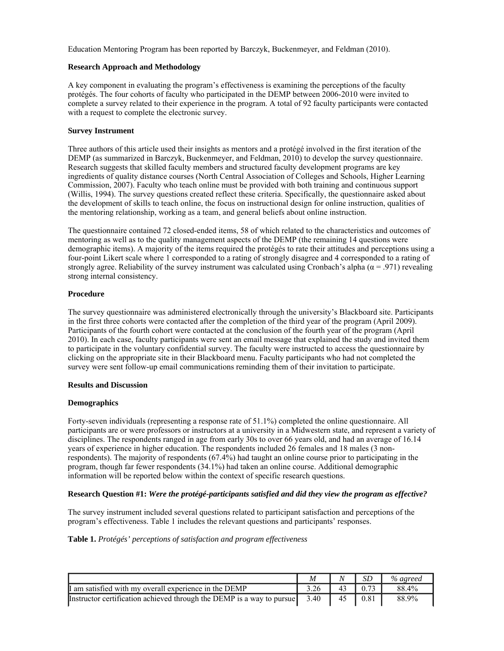Education Mentoring Program has been reported by Barczyk, Buckenmeyer, and Feldman (2010).

## **Research Approach and Methodology**

A key component in evaluating the program's effectiveness is examining the perceptions of the faculty protégés. The four cohorts of faculty who participated in the DEMP between 2006-2010 were invited to complete a survey related to their experience in the program. A total of 92 faculty participants were contacted with a request to complete the electronic survey.

## **Survey Instrument**

Three authors of this article used their insights as mentors and a protégé involved in the first iteration of the DEMP (as summarized in Barczyk, Buckenmeyer, and Feldman, 2010) to develop the survey questionnaire. Research suggests that skilled faculty members and structured faculty development programs are key ingredients of quality distance courses (North Central Association of Colleges and Schools, Higher Learning Commission, 2007). Faculty who teach online must be provided with both training and continuous support (Willis, 1994). The survey questions created reflect these criteria. Specifically, the questionnaire asked about the development of skills to teach online, the focus on instructional design for online instruction, qualities of the mentoring relationship, working as a team, and general beliefs about online instruction.

The questionnaire contained 72 closed-ended items, 58 of which related to the characteristics and outcomes of mentoring as well as to the quality management aspects of the DEMP (the remaining 14 questions were demographic items). A majority of the items required the protégés to rate their attitudes and perceptions using a four-point Likert scale where 1 corresponded to a rating of strongly disagree and 4 corresponded to a rating of strongly agree. Reliability of the survey instrument was calculated using Cronbach's alpha ( $\alpha$  = .971) revealing strong internal consistency.

## **Procedure**

The survey questionnaire was administered electronically through the university's Blackboard site. Participants in the first three cohorts were contacted after the completion of the third year of the program (April 2009). Participants of the fourth cohort were contacted at the conclusion of the fourth year of the program (April 2010). In each case, faculty participants were sent an email message that explained the study and invited them to participate in the voluntary confidential survey. The faculty were instructed to access the questionnaire by clicking on the appropriate site in their Blackboard menu. Faculty participants who had not completed the survey were sent follow-up email communications reminding them of their invitation to participate.

# **Results and Discussion**

# **Demographics**

Forty-seven individuals (representing a response rate of 51.1%) completed the online questionnaire. All participants are or were professors or instructors at a university in a Midwestern state, and represent a variety of disciplines. The respondents ranged in age from early 30s to over 66 years old, and had an average of 16.14 years of experience in higher education. The respondents included 26 females and 18 males (3 nonrespondents). The majority of respondents (67.4%) had taught an online course prior to participating in the program, though far fewer respondents (34.1%) had taken an online course. Additional demographic information will be reported below within the context of specific research questions.

# **Research Question #1:** *Were the protégé-participants satisfied and did they view the program as effective?*

The survey instrument included several questions related to participant satisfaction and perceptions of the program's effectiveness. Table 1 includes the relevant questions and participants' responses.

# **Table 1.** *Protégés' perceptions of satisfaction and program effectiveness*

|                                                                       |      |    | % agreed |
|-----------------------------------------------------------------------|------|----|----------|
| If am satisfied with my overall experience in the DEMP                |      | 43 | 88.4%    |
| Instructor certification achieved through the DEMP is a way to pursue | 3.40 | 45 | 88.9%    |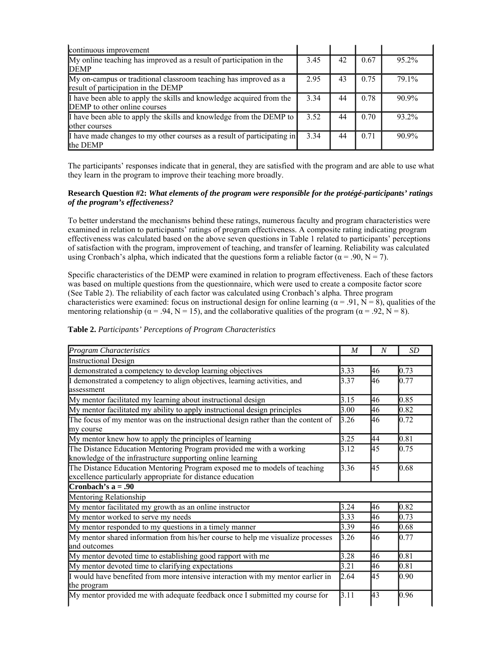| continuous improvement                                                                                  |       |    |      |          |
|---------------------------------------------------------------------------------------------------------|-------|----|------|----------|
| My online teaching has improved as a result of participation in the<br><b>DEMP</b>                      | 3.45  | 42 | 0.67 | $95.2\%$ |
| My on-campus or traditional classroom teaching has improved as a<br>result of participation in the DEMP | 2.95  | 43 | 0.75 | 79.1%    |
| I have been able to apply the skills and knowledge acquired from the<br>DEMP to other online courses    | 3.34  | 44 | 0.78 | $90.9\%$ |
| I have been able to apply the skills and knowledge from the DEMP to<br>other courses                    |       | 44 | 0.70 | 93.2%    |
| I have made changes to my other courses as a result of participating in<br>the DEMP                     | 3 3 4 | 44 | 0.71 | $90.9\%$ |

The participants' responses indicate that in general, they are satisfied with the program and are able to use what they learn in the program to improve their teaching more broadly.

## **Research Question #2:** *What elements of the program were responsible for the protégé-participants' ratings of the program's effectiveness?*

To better understand the mechanisms behind these ratings, numerous faculty and program characteristics were examined in relation to participants' ratings of program effectiveness. A composite rating indicating program effectiveness was calculated based on the above seven questions in Table 1 related to participants' perceptions of satisfaction with the program, improvement of teaching, and transfer of learning. Reliability was calculated using Cronbach's alpha, which indicated that the questions form a reliable factor ( $\alpha = .90$ , N = 7).

Specific characteristics of the DEMP were examined in relation to program effectiveness. Each of these factors was based on multiple questions from the questionnaire, which were used to create a composite factor score (See Table 2). The reliability of each factor was calculated using Cronbach's alpha. Three program characteristics were examined: focus on instructional design for online learning ( $\alpha = .91$ , N = 8), qualities of the mentoring relationship ( $\alpha = .94$ , N = 15), and the collaborative qualities of the program ( $\alpha = .92$ , N = 8).

| <b>Program Characteristics</b>                                                    | M    | N  | <b>SD</b>          |
|-----------------------------------------------------------------------------------|------|----|--------------------|
| <b>Instructional Design</b>                                                       |      |    |                    |
| I demonstrated a competency to develop learning objectives                        | 3.33 | 46 | $\vert 0.73 \vert$ |
| I demonstrated a competency to align objectives, learning activities, and         | 3.37 | 46 | $\vert 0.77 \vert$ |
| assessment                                                                        |      |    |                    |
| My mentor facilitated my learning about instructional design                      | 3.15 | 46 | $\vert 0.85 \vert$ |
| My mentor facilitated my ability to apply instructional design principles         | 3.00 | 46 | 0.82               |
| The focus of my mentor was on the instructional design rather than the content of | 3.26 | 46 | 0.72               |
| my course                                                                         |      |    |                    |
| My mentor knew how to apply the principles of learning                            | 3.25 | 44 | 0.81               |
| The Distance Education Mentoring Program provided me with a working               | 3.12 | 45 | $\vert 0.75 \vert$ |
| knowledge of the infrastructure supporting online learning                        |      |    |                    |
| The Distance Education Mentoring Program exposed me to models of teaching         | 3.36 | 45 | 0.68               |
| excellence particularly appropriate for distance education                        |      |    |                    |
| Cronbach's $a = .90$                                                              |      |    |                    |
| Mentoring Relationship                                                            |      |    |                    |
| My mentor facilitated my growth as an online instructor                           | 3.24 | 46 | 0.82               |
| My mentor worked to serve my needs                                                | 3.33 | 46 | $\vert 0.73 \vert$ |
| My mentor responded to my questions in a timely manner                            | 3.39 | 46 | 0.68               |
| My mentor shared information from his/her course to help me visualize processes   | 3.26 | 46 | $\mathbf{0.77}$    |
| and outcomes                                                                      |      |    |                    |
| My mentor devoted time to establishing good rapport with me                       | 3.28 | 46 | $\overline{0.81}$  |
| My mentor devoted time to clarifying expectations                                 | 3.21 | 46 | 0.81               |
| I would have benefited from more intensive interaction with my mentor earlier in  | 2.64 | 45 | 0.90               |
| the program                                                                       |      |    |                    |
| My mentor provided me with adequate feedback once I submitted my course for       | 3.11 | 43 | 0.96               |
|                                                                                   |      |    |                    |

| Table 2. Participants' Perceptions of Program Characteristics |
|---------------------------------------------------------------|
|---------------------------------------------------------------|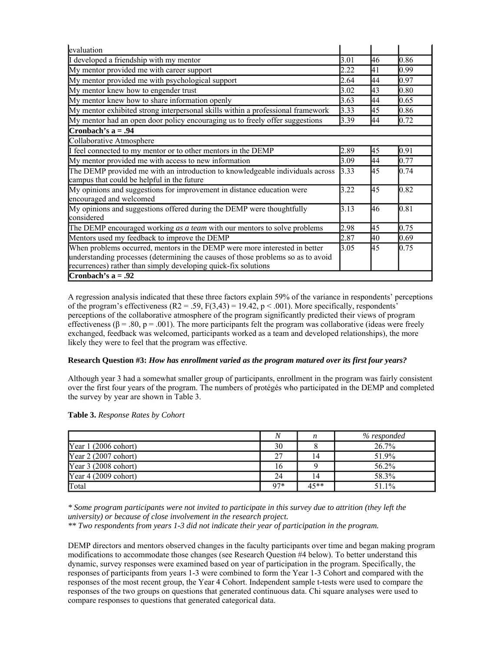| evaluation                                                                                                                                                                                                                       |      |                 |                    |
|----------------------------------------------------------------------------------------------------------------------------------------------------------------------------------------------------------------------------------|------|-----------------|--------------------|
| I developed a friendship with my mentor                                                                                                                                                                                          | 3.01 | 46              | 0.86               |
| My mentor provided me with career support                                                                                                                                                                                        | 2.22 | 41              | 0.99               |
| My mentor provided me with psychological support                                                                                                                                                                                 | 2.64 | 44              | 0.97               |
| My mentor knew how to engender trust                                                                                                                                                                                             | 3.02 | $\overline{43}$ | 0.80               |
| My mentor knew how to share information openly                                                                                                                                                                                   | 3.63 | 44              | 0.65               |
| My mentor exhibited strong interpersonal skills within a professional framework                                                                                                                                                  | 3.33 | 45              | 0.86               |
| My mentor had an open door policy encouraging us to freely offer suggestions                                                                                                                                                     | 3.39 | 44              | $\vert 0.72 \vert$ |
| Cronbach's $a = .94$                                                                                                                                                                                                             |      |                 |                    |
| Collaborative Atmosphere                                                                                                                                                                                                         |      |                 |                    |
| I feel connected to my mentor or to other mentors in the DEMP                                                                                                                                                                    | 2.89 | 45              | 0.91               |
| My mentor provided me with access to new information                                                                                                                                                                             | 3.09 | 44              | 0.77               |
| The DEMP provided me with an introduction to knowledgeable individuals across<br>campus that could be helpful in the future                                                                                                      | 3.33 | 45              | $\vert 0.74 \vert$ |
| My opinions and suggestions for improvement in distance education were<br>encouraged and welcomed                                                                                                                                | 3.22 | 45              | $\vert 0.82 \vert$ |
| My opinions and suggestions offered during the DEMP were thoughtfully<br>considered                                                                                                                                              | 3.13 | 46              | $\vert 0.81 \vert$ |
| The DEMP encouraged working as a team with our mentors to solve problems                                                                                                                                                         | 2.98 | 45              | $\vert 0.75 \vert$ |
| Mentors used my feedback to improve the DEMP                                                                                                                                                                                     | 2.87 | $\overline{40}$ | 0.69               |
| When problems occurred, mentors in the DEMP were more interested in better<br>understanding processes (determining the causes of those problems so as to avoid<br>recurrences) rather than simply developing quick-fix solutions | 3.05 | 45              | 0.75               |
| Cronbach's $a = .92$                                                                                                                                                                                                             |      |                 |                    |

A regression analysis indicated that these three factors explain 59% of the variance in respondents' perceptions of the program's effectiveness  $(R2 = .59, F(3,43) = 19.42, p < .001)$ . More specifically, respondents' perceptions of the collaborative atmosphere of the program significantly predicted their views of program effectiveness ( $\beta = .80$ ,  $p = .001$ ). The more participants felt the program was collaborative (ideas were freely exchanged, feedback was welcomed, participants worked as a team and developed relationships), the more likely they were to feel that the program was effective.

## **Research Question #3:** *How has enrollment varied as the program matured over its first four years?*

Although year 3 had a somewhat smaller group of participants, enrollment in the program was fairly consistent over the first four years of the program. The numbers of protégés who participated in the DEMP and completed the survey by year are shown in Table 3.

|  | Table 3. Response Rates by Cohort |  |  |  |
|--|-----------------------------------|--|--|--|
|--|-----------------------------------|--|--|--|

|                               | N     | n      | % responded |
|-------------------------------|-------|--------|-------------|
| Year $1(2006 \text{ cohort})$ | 30    |        | 26.7%       |
| Year 2 (2007 cohort)          | 27    | 14     | 51.9%       |
| Year 3 (2008 cohort)          | 16    |        | 56.2%       |
| Year $4(2009 \text{ cohort})$ | 24    | 14     | 58.3%       |
| Total                         | $97*$ | $45**$ | 51.1%       |

*\* Some program participants were not invited to participate in this survey due to attrition (they left the university) or because of close involvement in the research project.* 

*\*\* Two respondents from years 1-3 did not indicate their year of participation in the program.*

DEMP directors and mentors observed changes in the faculty participants over time and began making program modifications to accommodate those changes (see Research Question #4 below). To better understand this dynamic, survey responses were examined based on year of participation in the program. Specifically, the responses of participants from years 1-3 were combined to form the Year 1-3 Cohort and compared with the responses of the most recent group, the Year 4 Cohort. Independent sample t-tests were used to compare the responses of the two groups on questions that generated continuous data. Chi square analyses were used to compare responses to questions that generated categorical data.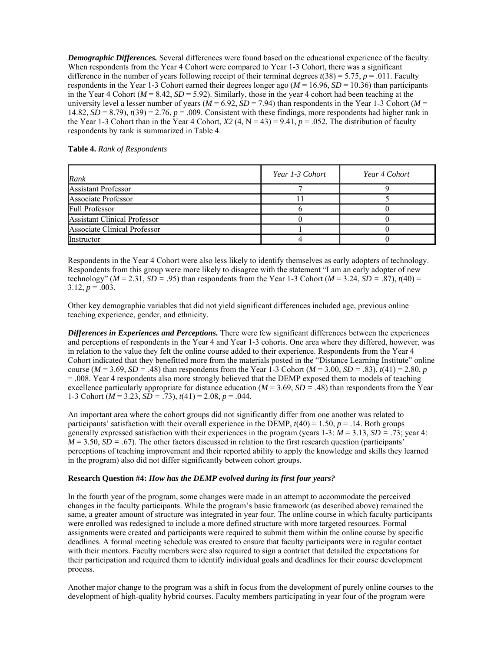*Demographic Differences.* Several differences were found based on the educational experience of the faculty. When respondents from the Year 4 Cohort were compared to Year 1-3 Cohort, there was a significant difference in the number of years following receipt of their terminal degrees  $t(38) = 5.75$ ,  $p = .011$ . Faculty respondents in the Year 1-3 Cohort earned their degrees longer ago ( $M = 16.96$ ,  $SD = 10.36$ ) than participants in the Year 4 Cohort ( $M = 8.42$ ,  $SD = 5.92$ ). Similarly, those in the year 4 cohort had been teaching at the university level a lesser number of years ( $M = 6.92$ ,  $SD = 7.94$ ) than respondents in the Year 1-3 Cohort ( $M =$ 14.82,  $SD = 8.79$ ,  $t(39) = 2.76$ ,  $p = .009$ . Consistent with these findings, more respondents had higher rank in the Year 1-3 Cohort than in the Year 4 Cohort,  $X2(4, N = 43) = 9.41$ ,  $p = .052$ . The distribution of faculty respondents by rank is summarized in Table 4.

## **Table 4.** *Rank of Respondents*

| Rank                                | Year 1-3 Cohort | Year 4 Cohort |
|-------------------------------------|-----------------|---------------|
| <b>Assistant Professor</b>          |                 |               |
| Associate Professor                 |                 |               |
| <b>Full Professor</b>               |                 |               |
| <b>Assistant Clinical Professor</b> |                 |               |
| Associate Clinical Professor        |                 |               |
| <b>Instructor</b>                   |                 |               |

Respondents in the Year 4 Cohort were also less likely to identify themselves as early adopters of technology. Respondents from this group were more likely to disagree with the statement "I am an early adopter of new technology" ( $M = 2.31$ ,  $SD = .95$ ) than respondents from the Year 1-3 Cohort ( $M = 3.24$ ,  $SD = .87$ ),  $t(40) =$  $3.12, p = .003$ .

Other key demographic variables that did not yield significant differences included age, previous online teaching experience, gender, and ethnicity.

*Differences in Experiences and Perceptions.* There were few significant differences between the experiences and perceptions of respondents in the Year 4 and Year 1-3 cohorts. One area where they differed, however, was in relation to the value they felt the online course added to their experience. Respondents from the Year 4 Cohort indicated that they benefitted more from the materials posted in the "Distance Learning Institute" online course ( $M = 3.69$ ,  $SD = .48$ ) than respondents from the Year 1-3 Cohort ( $M = 3.00$ ,  $SD = .83$ ),  $t(41) = 2.80$ , *p* = .008. Year 4 respondents also more strongly believed that the DEMP exposed them to models of teaching excellence particularly appropriate for distance education  $(M = 3.69, SD = .48)$  than respondents from the Year 1-3 Cohort ( $M = 3.23$ ,  $SD = .73$ ),  $t(41) = 2.08$ ,  $p = .044$ .

An important area where the cohort groups did not significantly differ from one another was related to participants' satisfaction with their overall experience in the DEMP,  $t(40) = 1.50$ ,  $p = .14$ . Both groups generally expressed satisfaction with their experiences in the program (years 1-3: *M* = 3.13, *SD =* .73; year 4:  $\overline{M}$  = 3.50,  $\overline{SD}$  = .67). The other factors discussed in relation to the first research question (participants' perceptions of teaching improvement and their reported ability to apply the knowledge and skills they learned in the program) also did not differ significantly between cohort groups.

## **Research Question #4:** *How has the DEMP evolved during its first four years?*

In the fourth year of the program, some changes were made in an attempt to accommodate the perceived changes in the faculty participants. While the program's basic framework (as described above) remained the same, a greater amount of structure was integrated in year four. The online course in which faculty participants were enrolled was redesigned to include a more defined structure with more targeted resources. Formal assignments were created and participants were required to submit them within the online course by specific deadlines. A formal meeting schedule was created to ensure that faculty participants were in regular contact with their mentors. Faculty members were also required to sign a contract that detailed the expectations for their participation and required them to identify individual goals and deadlines for their course development process.

Another major change to the program was a shift in focus from the development of purely online courses to the development of high-quality hybrid courses. Faculty members participating in year four of the program were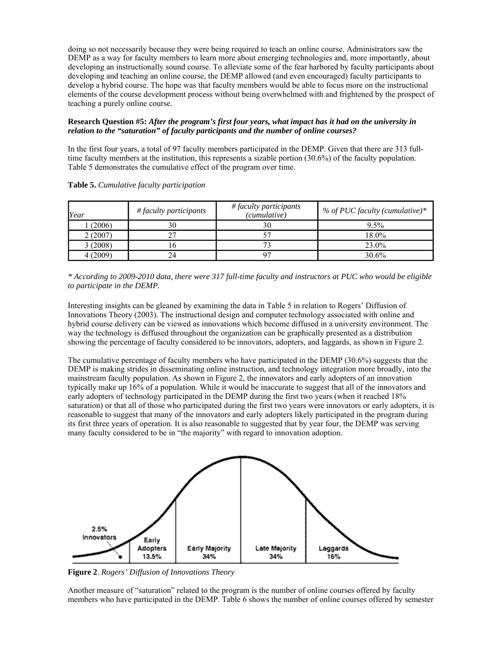doing so not necessarily because they were being required to teach an online course. Administrators saw the DEMP as a way for faculty members to learn more about emerging technologies and, more importantly, about developing an instructionally sound course. To alleviate some of the fear harbored by faculty participants about developing and teaching an online course, the DEMP allowed (and even encouraged) faculty participants to develop a hybrid course. The hope was that faculty members would be able to focus more on the instructional elements of the course development process without being overwhelmed with and frightened by the prospect of teaching a purely online course.

## **Research Question #5:** *After the program's first four years, what impact has it had on the university in relation to the "saturation" of faculty participants and the number of online courses?*

In the first four years, a total of 97 faculty members participated in the DEMP. Given that there are 313 fulltime faculty members at the institution, this represents a sizable portion (30.6%) of the faculty population. Table 5 demonstrates the cumulative effect of the program over time.

| Year     | $#$ faculty participants | $#$ faculty participants<br>(cumulative) | % of PUC faculty (cumulative)* |
|----------|--------------------------|------------------------------------------|--------------------------------|
| (2006)   |                          | 30                                       | $9.5\%$                        |
| 2(2007)  | ∠                        |                                          | $18.0\%$                       |
| 3(2008)  |                          |                                          | 23.0%                          |
| 4 (2009) | 24                       | Ω5                                       | $30.6\%$                       |

**Table 5.** *Cumulative faculty participation*

*\* According to 2009-2010 data, there were 317 full-time faculty and instructors at PUC who would be eligible to participate in the DEMP.*

Interesting insights can be gleaned by examining the data in Table 5 in relation to Rogers' Diffusion of Innovations Theory (2003). The instructional design and computer technology associated with online and hybrid course delivery can be viewed as innovations which become diffused in a university environment. The way the technology is diffused throughout the organization can be graphically presented as a distribution showing the percentage of faculty considered to be innovators, adopters, and laggards, as shown in Figure 2.

The cumulative percentage of faculty members who have participated in the DEMP (30.6%) suggests that the DEMP is making strides in disseminating online instruction, and technology integration more broadly, into the mainstream faculty population. As shown in Figure 2, the innovators and early adopters of an innovation typically make up 16% of a population. While it would be inaccurate to suggest that all of the innovators and early adopters of technology participated in the DEMP during the first two years (when it reached 18% saturation) or that all of those who participated during the first two years were innovators or early adopters, it is reasonable to suggest that many of the innovators and early adopters likely participated in the program during its first three years of operation. It is also reasonable to suggested that by year four, the DEMP was serving many faculty considered to be in "the majority" with regard to innovation adoption.



**Figure 2**. *Rogers' Diffusion of Innovations Theory*

Another measure of "saturation" related to the program is the number of online courses offered by faculty members who have participated in the DEMP. Table 6 shows the number of online courses offered by semester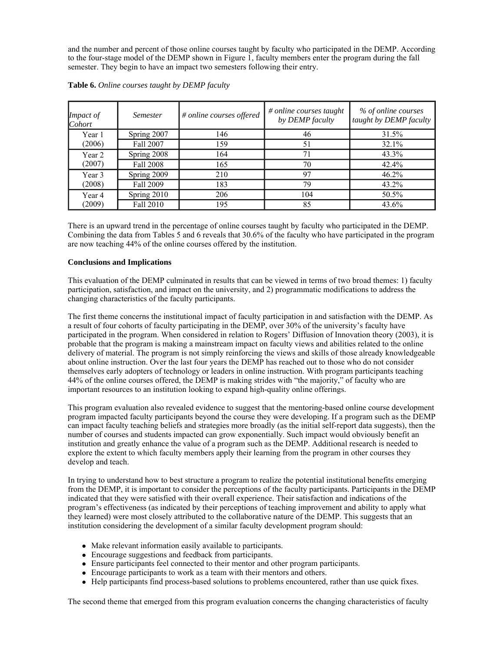and the number and percent of those online courses taught by faculty who participated in the DEMP. According to the four-stage model of the DEMP shown in Figure 1, faculty members enter the program during the fall semester. They begin to have an impact two semesters following their entry.

| <b>Impact of</b><br>Cohort | <i>Semester</i> | $#$ online courses offered | $#$ online courses taught<br>by DEMP faculty | % of online courses<br>taught by DEMP faculty |
|----------------------------|-----------------|----------------------------|----------------------------------------------|-----------------------------------------------|
| Year 1                     | Spring 2007     | 146                        | 46                                           | 31.5%                                         |
| (2006)                     | Fall 2007       | 159                        | 51                                           | 32.1%                                         |
| Year 2                     | Spring 2008     | 164                        | 71                                           | 43.3%                                         |
| (2007)                     | Fall 2008       | 165                        | 70                                           | 42.4%                                         |
| Year 3                     | Spring 2009     | 210                        | 97                                           | 46.2%                                         |
| (2008)                     | Fall 2009       | 183                        | 79                                           | 43.2%                                         |
| Year 4                     | Spring 2010     | 206                        | 104                                          | 50.5%                                         |
| (2009)                     | Fall 2010       | 195                        | 85                                           | 43.6%                                         |

**Table 6.** *Online courses taught by DEMP faculty*

There is an upward trend in the percentage of online courses taught by faculty who participated in the DEMP. Combining the data from Tables 5 and 6 reveals that 30.6% of the faculty who have participated in the program are now teaching 44% of the online courses offered by the institution.

# **Conclusions and Implications**

This evaluation of the DEMP culminated in results that can be viewed in terms of two broad themes: 1) faculty participation, satisfaction, and impact on the university, and 2) programmatic modifications to address the changing characteristics of the faculty participants.

The first theme concerns the institutional impact of faculty participation in and satisfaction with the DEMP. As a result of four cohorts of faculty participating in the DEMP, over 30% of the university's faculty have participated in the program. When considered in relation to Rogers' Diffusion of Innovation theory (2003), it is probable that the program is making a mainstream impact on faculty views and abilities related to the online delivery of material. The program is not simply reinforcing the views and skills of those already knowledgeable about online instruction. Over the last four years the DEMP has reached out to those who do not consider themselves early adopters of technology or leaders in online instruction. With program participants teaching 44% of the online courses offered, the DEMP is making strides with "the majority," of faculty who are important resources to an institution looking to expand high-quality online offerings.

This program evaluation also revealed evidence to suggest that the mentoring-based online course development program impacted faculty participants beyond the course they were developing. If a program such as the DEMP can impact faculty teaching beliefs and strategies more broadly (as the initial self-report data suggests), then the number of courses and students impacted can grow exponentially. Such impact would obviously benefit an institution and greatly enhance the value of a program such as the DEMP. Additional research is needed to explore the extent to which faculty members apply their learning from the program in other courses they develop and teach.

In trying to understand how to best structure a program to realize the potential institutional benefits emerging from the DEMP, it is important to consider the perceptions of the faculty participants. Participants in the DEMP indicated that they were satisfied with their overall experience. Their satisfaction and indications of the program's effectiveness (as indicated by their perceptions of teaching improvement and ability to apply what they learned) were most closely attributed to the collaborative nature of the DEMP. This suggests that an institution considering the development of a similar faculty development program should:

- Make relevant information easily available to participants.
- Encourage suggestions and feedback from participants.
- Ensure participants feel connected to their mentor and other program participants.
- Encourage participants to work as a team with their mentors and others.
- Help participants find process-based solutions to problems encountered, rather than use quick fixes.

The second theme that emerged from this program evaluation concerns the changing characteristics of faculty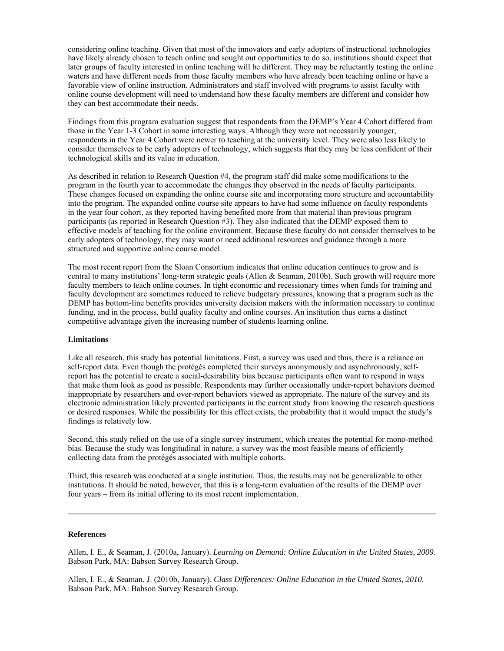considering online teaching. Given that most of the innovators and early adopters of instructional technologies have likely already chosen to teach online and sought out opportunities to do so, institutions should expect that later groups of faculty interested in online teaching will be different. They may be reluctantly testing the online waters and have different needs from those faculty members who have already been teaching online or have a favorable view of online instruction. Administrators and staff involved with programs to assist faculty with online course development will need to understand how these faculty members are different and consider how they can best accommodate their needs.

Findings from this program evaluation suggest that respondents from the DEMP's Year 4 Cohort differed from those in the Year 1-3 Cohort in some interesting ways. Although they were not necessarily younger, respondents in the Year 4 Cohort were newer to teaching at the university level. They were also less likely to consider themselves to be early adopters of technology, which suggests that they may be less confident of their technological skills and its value in education.

As described in relation to Research Question #4, the program staff did make some modifications to the program in the fourth year to accommodate the changes they observed in the needs of faculty participants. These changes focused on expanding the online course site and incorporating more structure and accountability into the program. The expanded online course site appears to have had some influence on faculty respondents in the year four cohort, as they reported having benefited more from that material than previous program participants (as reported in Research Question #3). They also indicated that the DEMP exposed them to effective models of teaching for the online environment. Because these faculty do not consider themselves to be early adopters of technology, they may want or need additional resources and guidance through a more structured and supportive online course model.

The most recent report from the Sloan Consortium indicates that online education continues to grow and is central to many institutions' long-term strategic goals (Allen & Seaman, 2010b). Such growth will require more faculty members to teach online courses. In tight economic and recessionary times when funds for training and faculty development are sometimes reduced to relieve budgetary pressures, knowing that a program such as the DEMP has bottom-line benefits provides university decision makers with the information necessary to continue funding, and in the process, build quality faculty and online courses. An institution thus earns a distinct competitive advantage given the increasing number of students learning online.

#### **Limitations**

Like all research, this study has potential limitations. First, a survey was used and thus, there is a reliance on self-report data. Even though the protégés completed their surveys anonymously and asynchronously, selfreport has the potential to create a social-desirability bias because participants often want to respond in ways that make them look as good as possible. Respondents may further occasionally under-report behaviors deemed inappropriate by researchers and over-report behaviors viewed as appropriate. The nature of the survey and its electronic administration likely prevented participants in the current study from knowing the research questions or desired responses. While the possibility for this effect exists, the probability that it would impact the study's findings is relatively low.

Second, this study relied on the use of a single survey instrument, which creates the potential for mono-method bias. Because the study was longitudinal in nature, a survey was the most feasible means of efficiently collecting data from the protégés associated with multiple cohorts.

Third, this research was conducted at a single institution. Thus, the results may not be generalizable to other institutions. It should be noted, however, that this is a long-term evaluation of the results of the DEMP over four years – from its initial offering to its most recent implementation.

#### **References**

Allen, I. E., & Seaman, J. (2010a, January). *Learning on Demand: Online Education in the United States, 2009.* Babson Park, MA: Babson Survey Research Group.

Allen, I. E., & Seaman, J. (2010b, January). *Class Differences: Online Education in the United States, 2010.* Babson Park, MA: Babson Survey Research Group.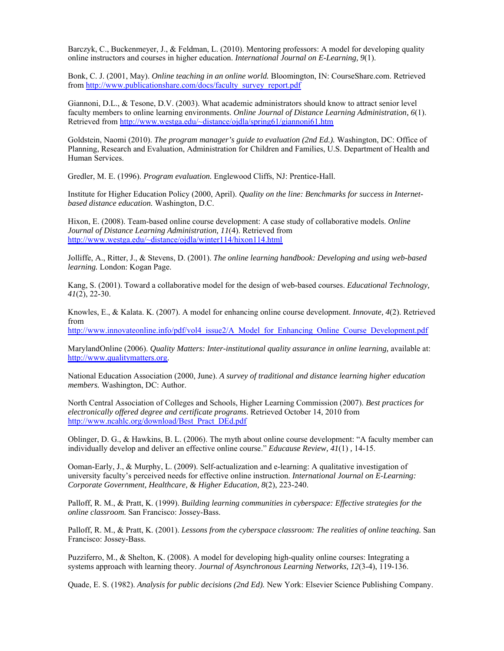Barczyk, C., Buckenmeyer, J., & Feldman, L. (2010). Mentoring professors: A model for developing quality online instructors and courses in higher education. *International Journal on E-Learning, 9*(1).

Bonk, C. J. (2001, May). *Online teaching in an online world.* Bloomington, IN: CourseShare.com. Retrieved from http://www.publicationshare.com/docs/faculty\_survey\_report.pdf

Giannoni, D.L., & Tesone, D.V. (2003). What academic administrators should know to attract senior level faculty members to online learning environments. *Online Journal of Distance Learning Administration, 6*(1). Retrieved from http://www.westga.edu/~distance/ojdla/spring61/giannoni61.htm

Goldstein, Naomi (2010). *The program manager's guide to evaluation (2nd Ed.).* Washington, DC: Office of Planning, Research and Evaluation, Administration for Children and Families, U.S. Department of Health and Human Services.

Gredler, M. E. (1996). *Program evaluation.* Englewood Cliffs, NJ: Prentice-Hall.

Institute for Higher Education Policy (2000, April). *Quality on the line: Benchmarks for success in Internetbased distance education.* Washington, D.C.

Hixon, E. (2008). Team-based online course development: A case study of collaborative models. *Online Journal of Distance Learning Administration, 11*(4). Retrieved from http://www.westga.edu/~distance/ojdla/winter114/hixon114.html

Jolliffe, A., Ritter, J., & Stevens, D. (2001). *The online learning handbook: Developing and using web-based learning.* London: Kogan Page.

Kang, S. (2001). Toward a collaborative model for the design of web-based courses. *Educational Technology, 41*(2), 22-30.

Knowles, E., & Kalata. K. (2007). A model for enhancing online course development. *Innovate, 4*(2). Retrieved from

http://www.innovateonline.info/pdf/vol4\_issue2/A\_Model\_for\_Enhancing\_Online\_Course\_Development.pdf

MarylandOnline (2006). *Quality Matters: Inter-institutional quality assurance in online learning*, available at: http://www.qualitymatters.org.

National Education Association (2000, June). *A survey of traditional and distance learning higher education members.* Washington, DC: Author.

North Central Association of Colleges and Schools, Higher Learning Commission (2007). *Best practices for electronically offered degree and certificate programs*. Retrieved October 14, 2010 from http://www.ncahlc.org/download/Best\_Pract\_DEd.pdf

Oblinger, D. G., & Hawkins, B. L. (2006). The myth about online course development: "A faculty member can individually develop and deliver an effective online course." *Educause Review, 41*(1) *,* 14-15.

Ooman-Early, J., & Murphy, L. (2009). Self-actualization and e-learning: A qualitative investigation of university faculty's perceived needs for effective online instruction. *International Journal on E-Learning: Corporate Government, Healthcare, & Higher Education, 8*(2), 223-240.

Palloff, R. M., & Pratt, K. (1999). *Building learning communities in cyberspace: Effective strategies for the online classroom.* San Francisco: Jossey-Bass.

Palloff, R. M., & Pratt, K. (2001). *Lessons from the cyberspace classroom: The realities of online teaching.* San Francisco: Jossey-Bass.

Puzziferro, M., & Shelton, K. (2008). A model for developing high-quality online courses: Integrating a systems approach with learning theory. *Journal of Asynchronous Learning Networks, 12*(3-4), 119-136.

Quade, E. S. (1982). *Analysis for public decisions (2nd Ed).* New York: Elsevier Science Publishing Company.